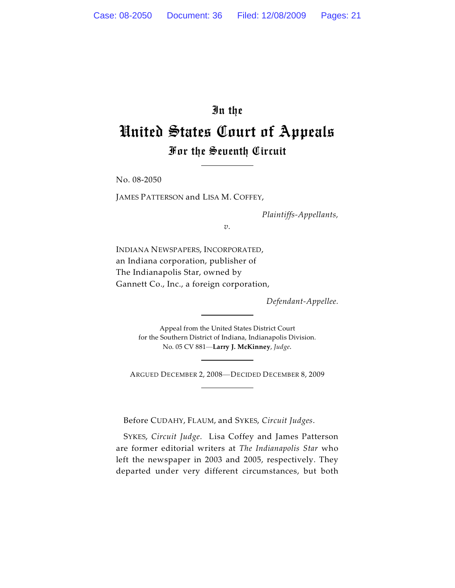# In the United States Court of Appeals For the Seventh Circuit

No. 08-2050

JAMES PATTERSON and LISA M. COFFEY,

*Plaintiffs-Appellants,*

*v.*

INDIANA NEWSPAPERS, INCORPORATED, an Indiana corporation, publisher of The Indianapolis Star, owned by Gannett Co., Inc., a foreign corporation,

*Defendant-Appellee.*

Appeal from the United States District Court for the Southern District of Indiana, Indianapolis Division. No. 05 CV 881—**Larry J. McKinney**, *Judge.*

ARGUED DECEMBER 2, 2008—DECIDED DECEMBER 8, 2009

Before CUDAHY, FLAUM, and SYKES, *Circuit Judges*.

SYKES, *Circuit Judge*. Lisa Coffey and James Patterson are former editorial writers at *The Indianapolis Star* who left the newspaper in 2003 and 2005, respectively. They departed under very different circumstances, but both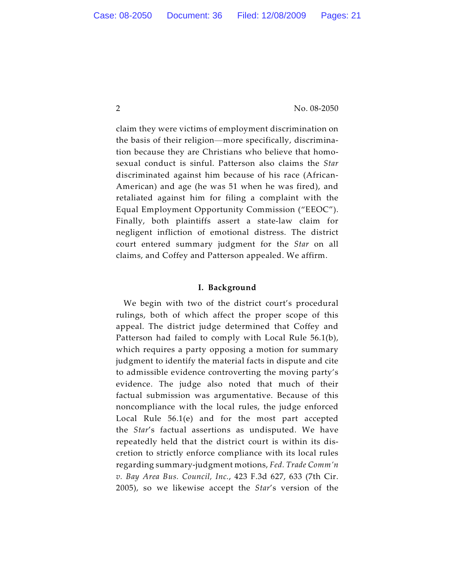claim they were victims of employment discrimination on the basis of their religion—more specifically, discrimination because they are Christians who believe that homosexual conduct is sinful. Patterson also claims the *Star* discriminated against him because of his race (African-American) and age (he was 51 when he was fired), and retaliated against him for filing a complaint with the Equal Employment Opportunity Commission ("EEOC"). Finally, both plaintiffs assert a state-law claim for negligent infliction of emotional distress. The district court entered summary judgment for the *Star* on all claims, and Coffey and Patterson appealed. We affirm.

#### **I. Background**

We begin with two of the district court's procedural rulings, both of which affect the proper scope of this appeal. The district judge determined that Coffey and Patterson had failed to comply with Local Rule 56.1(b), which requires a party opposing a motion for summary judgment to identify the material facts in dispute and cite to admissible evidence controverting the moving party's evidence. The judge also noted that much of their factual submission was argumentative. Because of this noncompliance with the local rules, the judge enforced Local Rule 56.1(e) and for the most part accepted the *Star*'s factual assertions as undisputed. We have repeatedly held that the district court is within its discretion to strictly enforce compliance with its local rules regarding summary-judgment motions, *Fed. Trade Comm'n v. Bay Area Bus. Council, Inc.*, 423 F.3d 627, 633 (7th Cir. 2005), so we likewise accept the *Star*'s version of the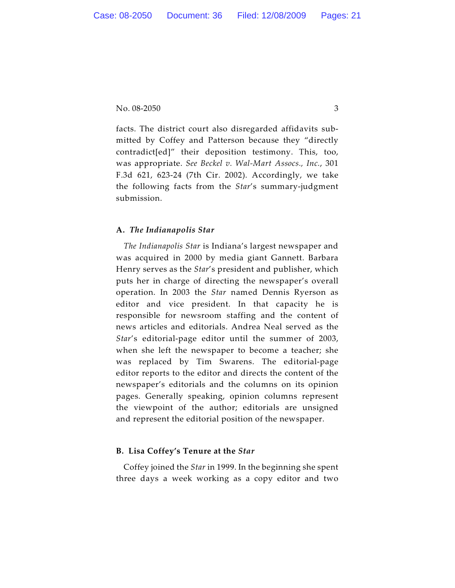facts. The district court also disregarded affidavits submitted by Coffey and Patterson because they "directly contradict[ed]" their deposition testimony. This, too, was appropriate. *See Beckel v. Wal-Mart Assocs., Inc.*, 301 F.3d 621, 623-24 (7th Cir. 2002). Accordingly, we take the following facts from the *Star*'s summary-judgment submission.

# **A.** *The Indianapolis Star*

*The Indianapolis Star* is Indiana's largest newspaper and was acquired in 2000 by media giant Gannett. Barbara Henry serves as the *Star*'s president and publisher, which puts her in charge of directing the newspaper's overall operation. In 2003 the *Star* named Dennis Ryerson as editor and vice president. In that capacity he is responsible for newsroom staffing and the content of news articles and editorials. Andrea Neal served as the *Star*'s editorial-page editor until the summer of 2003, when she left the newspaper to become a teacher; she was replaced by Tim Swarens. The editorial-page editor reports to the editor and directs the content of the newspaper's editorials and the columns on its opinion pages. Generally speaking, opinion columns represent the viewpoint of the author; editorials are unsigned and represent the editorial position of the newspaper.

## **B. Lisa Coffey's Tenure at the** *Star*

Coffey joined the *Star* in 1999. In the beginning she spent three days a week working as a copy editor and two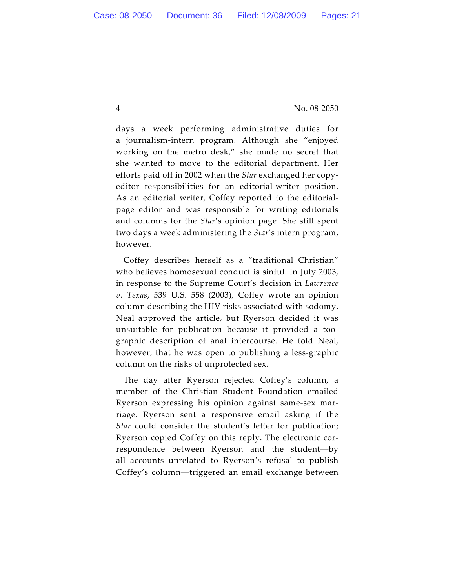days a week performing administrative duties for a journalism-intern program. Although she "enjoyed working on the metro desk," she made no secret that she wanted to move to the editorial department. Her efforts paid off in 2002 when the *Star* exchanged her copyeditor responsibilities for an editorial-writer position. As an editorial writer, Coffey reported to the editorialpage editor and was responsible for writing editorials and columns for the *Star*'s opinion page. She still spent two days a week administering the *Star*'s intern program, however.

Coffey describes herself as a "traditional Christian" who believes homosexual conduct is sinful. In July 2003, in response to the Supreme Court's decision in *Lawrence v. Texas*, 539 U.S. 558 (2003), Coffey wrote an opinion column describing the HIV risks associated with sodomy. Neal approved the article, but Ryerson decided it was unsuitable for publication because it provided a toographic description of anal intercourse. He told Neal, however, that he was open to publishing a less-graphic column on the risks of unprotected sex.

The day after Ryerson rejected Coffey's column, a member of the Christian Student Foundation emailed Ryerson expressing his opinion against same-sex marriage. Ryerson sent a responsive email asking if the *Star* could consider the student's letter for publication; Ryerson copied Coffey on this reply. The electronic correspondence between Ryerson and the student—by all accounts unrelated to Ryerson's refusal to publish Coffey's column—triggered an email exchange between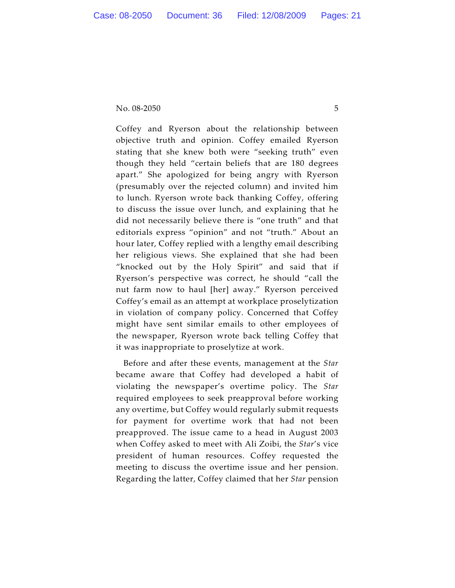Coffey and Ryerson about the relationship between objective truth and opinion. Coffey emailed Ryerson stating that she knew both were "seeking truth" even though they held "certain beliefs that are 180 degrees apart." She apologized for being angry with Ryerson (presumably over the rejected column) and invited him to lunch. Ryerson wrote back thanking Coffey, offering to discuss the issue over lunch, and explaining that he did not necessarily believe there is "one truth" and that editorials express "opinion" and not "truth." About an hour later, Coffey replied with a lengthy email describing her religious views. She explained that she had been "knocked out by the Holy Spirit" and said that if Ryerson's perspective was correct, he should "call the nut farm now to haul [her] away." Ryerson perceived Coffey's email as an attempt at workplace proselytization in violation of company policy. Concerned that Coffey might have sent similar emails to other employees of the newspaper, Ryerson wrote back telling Coffey that it was inappropriate to proselytize at work.

Before and after these events, management at the *Star* became aware that Coffey had developed a habit of violating the newspaper's overtime policy. The *Star* required employees to seek preapproval before working any overtime, but Coffey would regularly submit requests for payment for overtime work that had not been preapproved. The issue came to a head in August 2003 when Coffey asked to meet with Ali Zoibi, the *Star*'s vice president of human resources. Coffey requested the meeting to discuss the overtime issue and her pension. Regarding the latter, Coffey claimed that her *Star* pension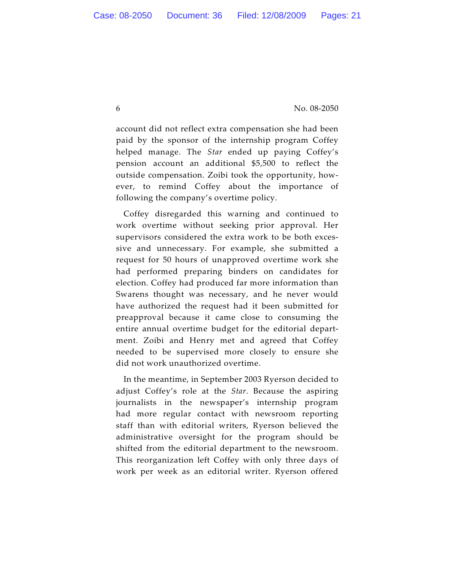account did not reflect extra compensation she had been paid by the sponsor of the internship program Coffey helped manage. The *Star* ended up paying Coffey's pension account an additional \$5,500 to reflect the outside compensation. Zoibi took the opportunity, however, to remind Coffey about the importance of following the company's overtime policy.

Coffey disregarded this warning and continued to work overtime without seeking prior approval. Her supervisors considered the extra work to be both excessive and unnecessary. For example, she submitted a request for 50 hours of unapproved overtime work she had performed preparing binders on candidates for election. Coffey had produced far more information than Swarens thought was necessary, and he never would have authorized the request had it been submitted for preapproval because it came close to consuming the entire annual overtime budget for the editorial department. Zoibi and Henry met and agreed that Coffey needed to be supervised more closely to ensure she did not work unauthorized overtime.

In the meantime, in September 2003 Ryerson decided to adjust Coffey's role at the *Star*. Because the aspiring journalists in the newspaper's internship program had more regular contact with newsroom reporting staff than with editorial writers, Ryerson believed the administrative oversight for the program should be shifted from the editorial department to the newsroom. This reorganization left Coffey with only three days of work per week as an editorial writer. Ryerson offered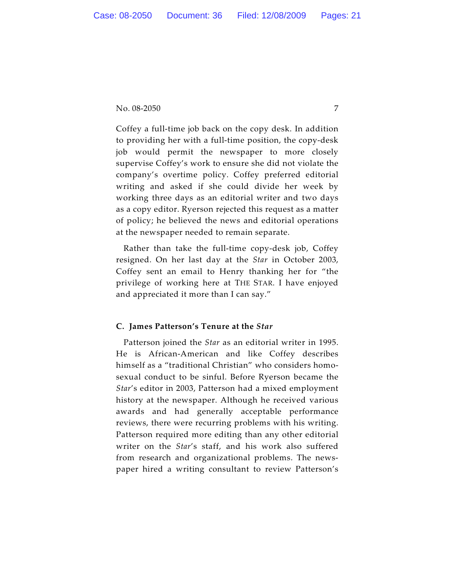Coffey a full-time job back on the copy desk. In addition to providing her with a full-time position, the copy-desk job would permit the newspaper to more closely supervise Coffey's work to ensure she did not violate the company's overtime policy. Coffey preferred editorial writing and asked if she could divide her week by working three days as an editorial writer and two days as a copy editor. Ryerson rejected this request as a matter of policy; he believed the news and editorial operations at the newspaper needed to remain separate.

Rather than take the full-time copy-desk job, Coffey resigned. On her last day at the *Star* in October 2003, Coffey sent an email to Henry thanking her for "the privilege of working here at THE STAR. I have enjoyed and appreciated it more than I can say."

## **C. James Patterson's Tenure at the** *Star*

Patterson joined the *Star* as an editorial writer in 1995. He is African-American and like Coffey describes himself as a "traditional Christian" who considers homosexual conduct to be sinful. Before Ryerson became the *Star*'s editor in 2003, Patterson had a mixed employment history at the newspaper. Although he received various awards and had generally acceptable performance reviews, there were recurring problems with his writing. Patterson required more editing than any other editorial writer on the *Star*'s staff, and his work also suffered from research and organizational problems. The newspaper hired a writing consultant to review Patterson's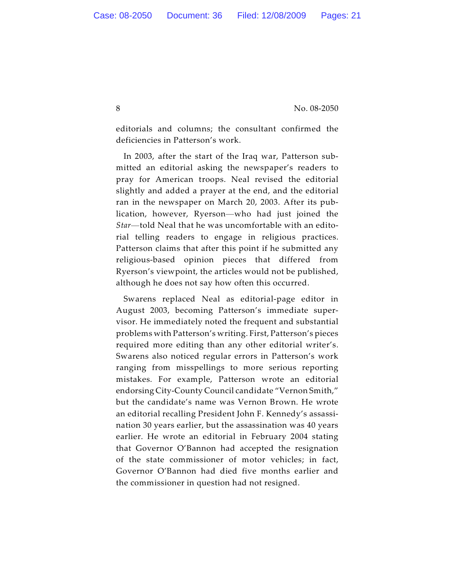editorials and columns; the consultant confirmed the deficiencies in Patterson's work.

In 2003, after the start of the Iraq war, Patterson submitted an editorial asking the newspaper's readers to pray for American troops. Neal revised the editorial slightly and added a prayer at the end, and the editorial ran in the newspaper on March 20, 2003. After its publication, however, Ryerson—who had just joined the *Star*—told Neal that he was uncomfortable with an editorial telling readers to engage in religious practices. Patterson claims that after this point if he submitted any religious-based opinion pieces that differed from Ryerson's viewpoint, the articles would not be published, although he does not say how often this occurred.

Swarens replaced Neal as editorial-page editor in August 2003, becoming Patterson's immediate supervisor. He immediately noted the frequent and substantial problems with Patterson's writing. First, Patterson's pieces required more editing than any other editorial writer's. Swarens also noticed regular errors in Patterson's work ranging from misspellings to more serious reporting mistakes. For example, Patterson wrote an editorial endorsing City-County Council candidate "Vernon Smith," but the candidate's name was Vernon Brown. He wrote an editorial recalling President John F. Kennedy's assassination 30 years earlier, but the assassination was 40 years earlier. He wrote an editorial in February 2004 stating that Governor O'Bannon had accepted the resignation of the state commissioner of motor vehicles; in fact, Governor O'Bannon had died five months earlier and the commissioner in question had not resigned.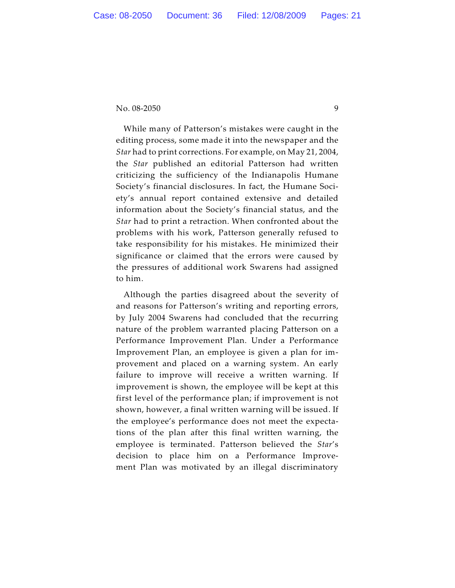While many of Patterson's mistakes were caught in the editing process, some made it into the newspaper and the *Star* had to print corrections. For example, on May 21, 2004, the *Star* published an editorial Patterson had written criticizing the sufficiency of the Indianapolis Humane Society's financial disclosures. In fact, the Humane Society's annual report contained extensive and detailed information about the Society's financial status, and the *Star* had to print a retraction. When confronted about the problems with his work, Patterson generally refused to take responsibility for his mistakes. He minimized their significance or claimed that the errors were caused by the pressures of additional work Swarens had assigned to him.

Although the parties disagreed about the severity of and reasons for Patterson's writing and reporting errors, by July 2004 Swarens had concluded that the recurring nature of the problem warranted placing Patterson on a Performance Improvement Plan. Under a Performance Improvement Plan, an employee is given a plan for improvement and placed on a warning system. An early failure to improve will receive a written warning. If improvement is shown, the employee will be kept at this first level of the performance plan; if improvement is not shown, however, a final written warning will be issued. If the employee's performance does not meet the expectations of the plan after this final written warning, the employee is terminated. Patterson believed the *Star*'s decision to place him on a Performance Improvement Plan was motivated by an illegal discriminatory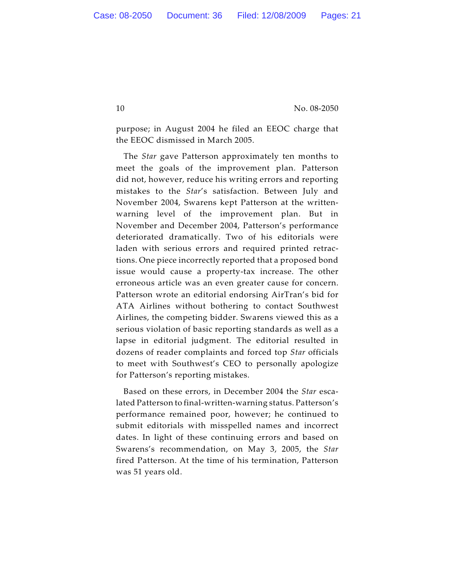purpose; in August 2004 he filed an EEOC charge that the EEOC dismissed in March 2005.

The *Star* gave Patterson approximately ten months to meet the goals of the improvement plan. Patterson did not, however, reduce his writing errors and reporting mistakes to the *Star*'s satisfaction. Between July and November 2004, Swarens kept Patterson at the writtenwarning level of the improvement plan. But in November and December 2004, Patterson's performance deteriorated dramatically. Two of his editorials were laden with serious errors and required printed retractions. One piece incorrectly reported that a proposed bond issue would cause a property-tax increase. The other erroneous article was an even greater cause for concern. Patterson wrote an editorial endorsing AirTran's bid for ATA Airlines without bothering to contact Southwest Airlines, the competing bidder. Swarens viewed this as a serious violation of basic reporting standards as well as a lapse in editorial judgment. The editorial resulted in dozens of reader complaints and forced top *Star* officials to meet with Southwest's CEO to personally apologize for Patterson's reporting mistakes.

Based on these errors, in December 2004 the *Star* escalated Patterson to final-written-warning status. Patterson's performance remained poor, however; he continued to submit editorials with misspelled names and incorrect dates. In light of these continuing errors and based on Swarens's recommendation, on May 3, 2005, the *Star* fired Patterson. At the time of his termination, Patterson was 51 years old.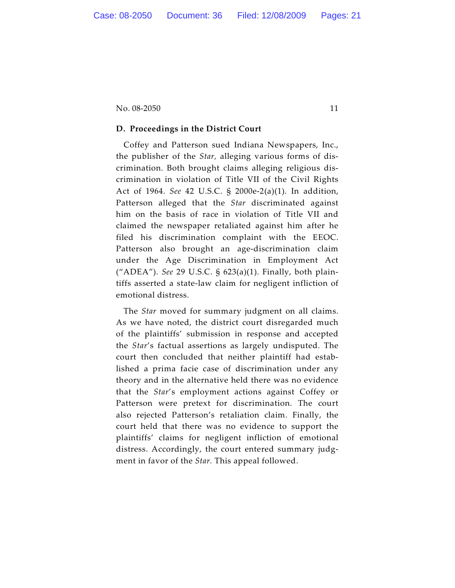## **D. Proceedings in the District Court**

Coffey and Patterson sued Indiana Newspapers, Inc., the publisher of the *Star,* alleging various forms of discrimination. Both brought claims alleging religious discrimination in violation of Title VII of the Civil Rights Act of 1964. *See* 42 U.S.C. § 2000e-2(a)(1). In addition, Patterson alleged that the *Star* discriminated against him on the basis of race in violation of Title VII and claimed the newspaper retaliated against him after he filed his discrimination complaint with the EEOC. Patterson also brought an age-discrimination claim under the Age Discrimination in Employment Act ("ADEA"). *See* 29 U.S.C. § 623(a)(1). Finally, both plaintiffs asserted a state-law claim for negligent infliction of emotional distress.

The *Star* moved for summary judgment on all claims. As we have noted, the district court disregarded much of the plaintiffs' submission in response and accepted the *Star*'s factual assertions as largely undisputed. The court then concluded that neither plaintiff had established a prima facie case of discrimination under any theory and in the alternative held there was no evidence that the *Star*'s employment actions against Coffey or Patterson were pretext for discrimination. The court also rejected Patterson's retaliation claim. Finally, the court held that there was no evidence to support the plaintiffs' claims for negligent infliction of emotional distress. Accordingly, the court entered summary judgment in favor of the *Star.* This appeal followed.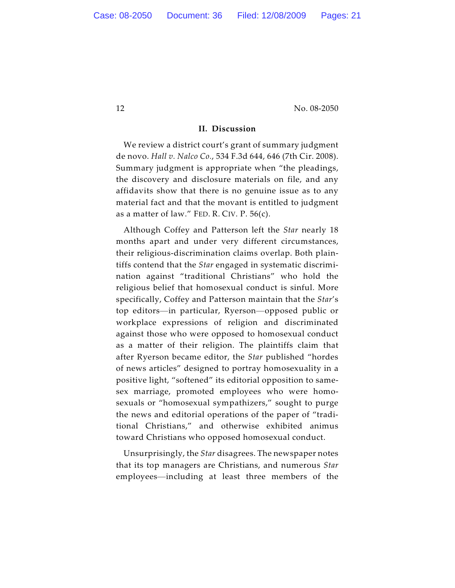#### **II. Discussion**

We review a district court's grant of summary judgment de novo. *Hall v. Nalco Co.*, 534 F.3d 644, 646 (7th Cir. 2008). Summary judgment is appropriate when "the pleadings, the discovery and disclosure materials on file, and any affidavits show that there is no genuine issue as to any material fact and that the movant is entitled to judgment as a matter of law." FED. R. CIV. P. 56(c).

Although Coffey and Patterson left the *Star* nearly 18 months apart and under very different circumstances, their religious-discrimination claims overlap. Both plaintiffs contend that the *Star* engaged in systematic discrimination against "traditional Christians" who hold the religious belief that homosexual conduct is sinful. More specifically, Coffey and Patterson maintain that the *Star*'s top editors—in particular, Ryerson—opposed public or workplace expressions of religion and discriminated against those who were opposed to homosexual conduct as a matter of their religion. The plaintiffs claim that after Ryerson became editor, the *Star* published "hordes of news articles" designed to portray homosexuality in a positive light, "softened" its editorial opposition to samesex marriage, promoted employees who were homosexuals or "homosexual sympathizers," sought to purge the news and editorial operations of the paper of "traditional Christians," and otherwise exhibited animus toward Christians who opposed homosexual conduct.

Unsurprisingly, the *Star* disagrees. The newspaper notes that its top managers are Christians, and numerous *Star* employees—including at least three members of the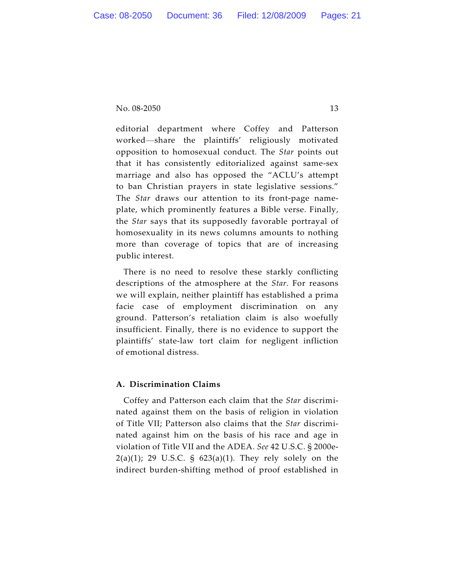editorial department where Coffey and Patterson worked—share the plaintiffs' religiously motivated opposition to homosexual conduct. The *Star* points out that it has consistently editorialized against same-sex marriage and also has opposed the "ACLU's attempt to ban Christian prayers in state legislative sessions." The *Star* draws our attention to its front-page nameplate, which prominently features a Bible verse. Finally, the *Star* says that its supposedly favorable portrayal of homosexuality in its news columns amounts to nothing more than coverage of topics that are of increasing public interest.

There is no need to resolve these starkly conflicting descriptions of the atmosphere at the *Star*. For reasons we will explain, neither plaintiff has established a prima facie case of employment discrimination on any ground. Patterson's retaliation claim is also woefully insufficient. Finally, there is no evidence to support the plaintiffs' state-law tort claim for negligent infliction of emotional distress.

# **A. Discrimination Claims**

Coffey and Patterson each claim that the *Star* discriminated against them on the basis of religion in violation of Title VII; Patterson also claims that the *Star* discriminated against him on the basis of his race and age in violation of Title VII and the ADEA. *See* 42 U.S.C. § 2000e- $2(a)(1)$ ; 29 U.S.C. §  $623(a)(1)$ . They rely solely on the indirect burden-shifting method of proof established in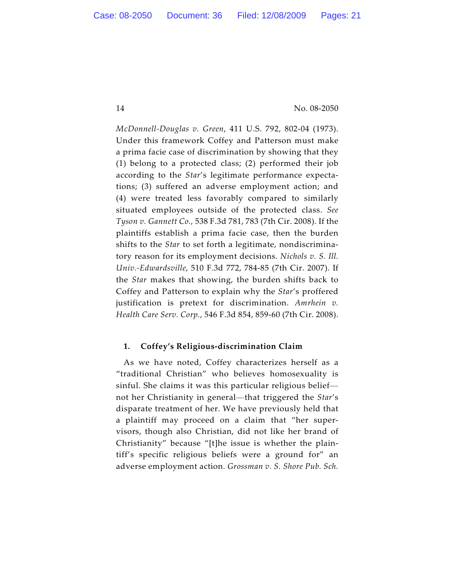*McDonnell-Douglas v. Green*, 411 U.S. 792, 802-04 (1973). Under this framework Coffey and Patterson must make a prima facie case of discrimination by showing that they (1) belong to a protected class; (2) performed their job according to the *Star*'s legitimate performance expectations; (3) suffered an adverse employment action; and (4) were treated less favorably compared to similarly situated employees outside of the protected class. *See Tyson v. Gannett Co.,* 538 F.3d 781, 783 (7th Cir. 2008). If the plaintiffs establish a prima facie case, then the burden shifts to the *Star* to set forth a legitimate, nondiscriminatory reason for its employment decisions. *Nichols v. S. Ill. Univ.-Edwardsville*, 510 F.3d 772, 784-85 (7th Cir. 2007). If the *Star* makes that showing, the burden shifts back to Coffey and Patterson to explain why the *Star*'s proffered justification is pretext for discrimination. *Amrhein v. Health Care Serv. Corp.*, 546 F.3d 854, 859-60 (7th Cir. 2008).

## **1. Coffey's Religious-discrimination Claim**

As we have noted, Coffey characterizes herself as a "traditional Christian" who believes homosexuality is sinful. She claims it was this particular religious belief not her Christianity in general—that triggered the *Star*'s disparate treatment of her. We have previously held that a plaintiff may proceed on a claim that "her supervisors, though also Christian, did not like her brand of Christianity" because "[t]he issue is whether the plaintiff's specific religious beliefs were a ground for" an adverse employment action. *Grossman v. S. Shore Pub. Sch.*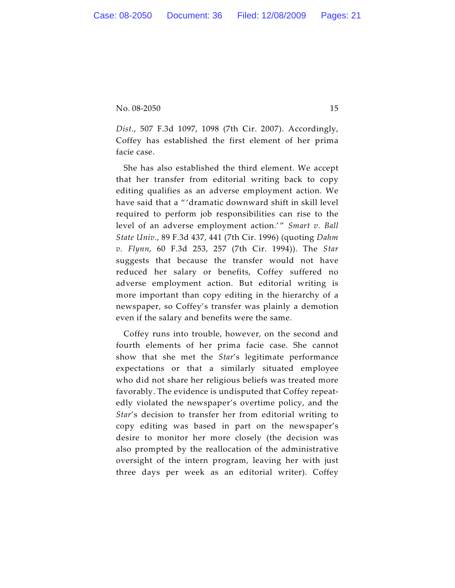*Dist.*, 507 F.3d 1097, 1098 (7th Cir. 2007). Accordingly, Coffey has established the first element of her prima facie case.

She has also established the third element. We accept that her transfer from editorial writing back to copy editing qualifies as an adverse employment action. We have said that a " 'dramatic downward shift in skill level required to perform job responsibilities can rise to the level of an adverse employment action.'" Smart v. Ball *State Univ.*, 89 F.3d 437, 441 (7th Cir. 1996) (quoting *Dahm v. Flynn*, 60 F.3d 253, 257 (7th Cir. 1994)). The *Star* suggests that because the transfer would not have reduced her salary or benefits, Coffey suffered no adverse employment action. But editorial writing is more important than copy editing in the hierarchy of a newspaper, so Coffey's transfer was plainly a demotion even if the salary and benefits were the same.

Coffey runs into trouble, however, on the second and fourth elements of her prima facie case. She cannot show that she met the *Star*'s legitimate performance expectations or that a similarly situated employee who did not share her religious beliefs was treated more favorably. The evidence is undisputed that Coffey repeatedly violated the newspaper's overtime policy, and the *Star*'s decision to transfer her from editorial writing to copy editing was based in part on the newspaper's desire to monitor her more closely (the decision was also prompted by the reallocation of the administrative oversight of the intern program, leaving her with just three days per week as an editorial writer). Coffey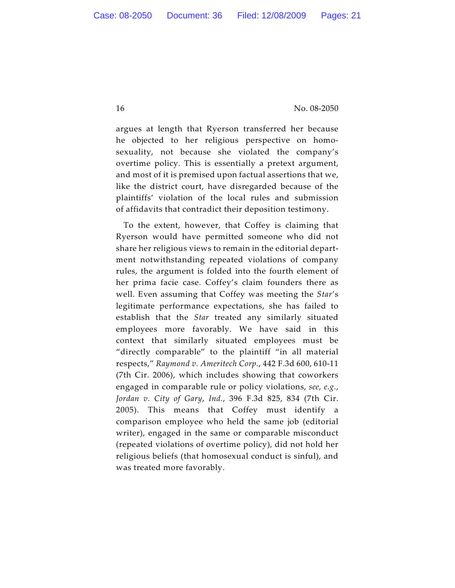argues at length that Ryerson transferred her because he objected to her religious perspective on homosexuality, not because she violated the company's overtime policy. This is essentially a pretext argument, and most of it is premised upon factual assertions that we, like the district court, have disregarded because of the plaintiffs' violation of the local rules and submission of affidavits that contradict their deposition testimony.

To the extent, however, that Coffey is claiming that Ryerson would have permitted someone who did not share her religious views to remain in the editorial department notwithstanding repeated violations of company rules, the argument is folded into the fourth element of her prima facie case. Coffey's claim founders there as well. Even assuming that Coffey was meeting the *Star*'s legitimate performance expectations, she has failed to establish that the *Star* treated any similarly situated employees more favorably. We have said in this context that similarly situated employees must be "directly comparable" to the plaintiff "in all material respects," *Raymond v. Ameritech Corp.*, 442 F.3d 600, 610-11 (7th Cir. 2006), which includes showing that coworkers engaged in comparable rule or policy violations, *see, e.g.*, *Jordan v. City of Gary*, *Ind.*, 396 F.3d 825, 834 (7th Cir. 2005). This means that Coffey must identify a comparison employee who held the same job (editorial writer), engaged in the same or comparable misconduct (repeated violations of overtime policy), did not hold her religious beliefs (that homosexual conduct is sinful), and was treated more favorably.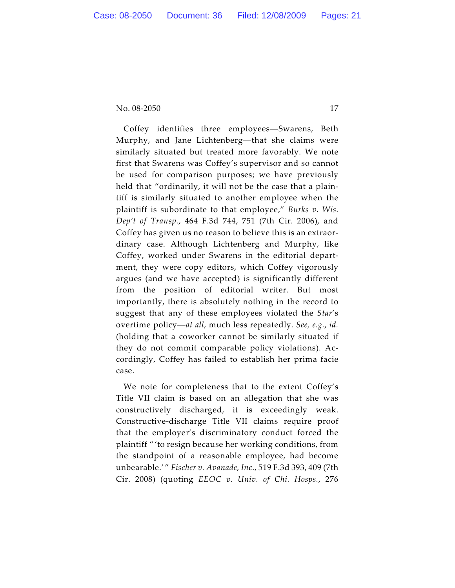Coffey identifies three employees—Swarens, Beth Murphy, and Jane Lichtenberg—that she claims were similarly situated but treated more favorably. We note first that Swarens was Coffey's supervisor and so cannot be used for comparison purposes; we have previously held that "ordinarily, it will not be the case that a plaintiff is similarly situated to another employee when the plaintiff is subordinate to that employee," *Burks v. Wis. Dep't of Transp.*, 464 F.3d 744, 751 (7th Cir. 2006), and Coffey has given us no reason to believe this is an extraordinary case. Although Lichtenberg and Murphy, like Coffey, worked under Swarens in the editorial department, they were copy editors, which Coffey vigorously argues (and we have accepted) is significantly different from the position of editorial writer. But most importantly, there is absolutely nothing in the record to suggest that any of these employees violated the *Star*'s overtime policy—*at all*, much less repeatedly. *See, e.g.*, *id.* (holding that a coworker cannot be similarly situated if they do not commit comparable policy violations). Accordingly, Coffey has failed to establish her prima facie case.

We note for completeness that to the extent Coffey's Title VII claim is based on an allegation that she was constructively discharged, it is exceedingly weak. Constructive-discharge Title VII claims require proof that the employer's discriminatory conduct forced the plaintiff " 'to resign because her working conditions, from the standpoint of a reasonable employee, had become unbearable.' " *Fischer v. Avanade, Inc.*, 519 F.3d 393, 409 (7th Cir. 2008) (quoting *EEOC v. Univ. of Chi. Hosps.*, 276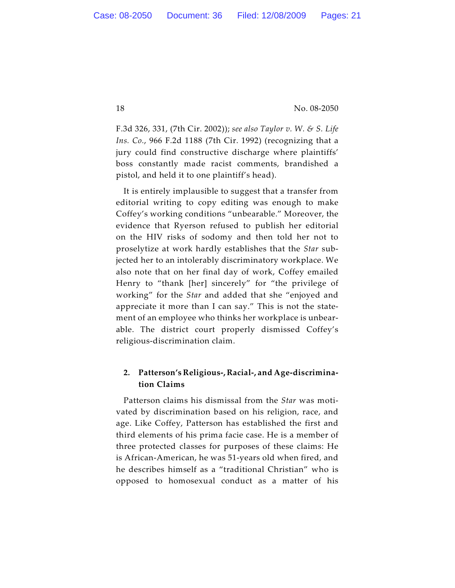F.3d 326, 331, (7th Cir. 2002)); *see also Taylor v. W. & S. Life Ins. Co.*, 966 F.2d 1188 (7th Cir. 1992) (recognizing that a jury could find constructive discharge where plaintiffs' boss constantly made racist comments, brandished a pistol, and held it to one plaintiff's head).

It is entirely implausible to suggest that a transfer from editorial writing to copy editing was enough to make Coffey's working conditions "unbearable." Moreover, the evidence that Ryerson refused to publish her editorial on the HIV risks of sodomy and then told her not to proselytize at work hardly establishes that the *Star* subjected her to an intolerably discriminatory workplace. We also note that on her final day of work, Coffey emailed Henry to "thank [her] sincerely" for "the privilege of working" for the *Star* and added that she "enjoyed and appreciate it more than I can say." This is not the statement of an employee who thinks her workplace is unbearable. The district court properly dismissed Coffey's religious-discrimination claim.

# **2. Patterson's Religious-, Racial-, and Age-discrimination Claims**

Patterson claims his dismissal from the *Star* was motivated by discrimination based on his religion, race, and age. Like Coffey, Patterson has established the first and third elements of his prima facie case. He is a member of three protected classes for purposes of these claims: He is African-American, he was 51-years old when fired, and he describes himself as a "traditional Christian" who is opposed to homosexual conduct as a matter of his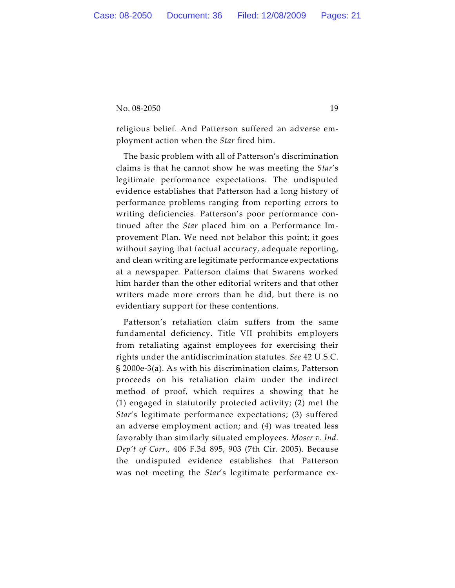religious belief. And Patterson suffered an adverse employment action when the *Star* fired him.

The basic problem with all of Patterson's discrimination claims is that he cannot show he was meeting the *Star*'s legitimate performance expectations. The undisputed evidence establishes that Patterson had a long history of performance problems ranging from reporting errors to writing deficiencies. Patterson's poor performance continued after the *Star* placed him on a Performance Improvement Plan. We need not belabor this point; it goes without saying that factual accuracy, adequate reporting, and clean writing are legitimate performance expectations at a newspaper. Patterson claims that Swarens worked him harder than the other editorial writers and that other writers made more errors than he did, but there is no evidentiary support for these contentions.

Patterson's retaliation claim suffers from the same fundamental deficiency. Title VII prohibits employers from retaliating against employees for exercising their rights under the antidiscrimination statutes. *See* 42 U.S.C. § 2000e-3(a). As with his discrimination claims, Patterson proceeds on his retaliation claim under the indirect method of proof, which requires a showing that he (1) engaged in statutorily protected activity; (2) met the *Star*'s legitimate performance expectations; (3) suffered an adverse employment action; and (4) was treated less favorably than similarly situated employees. *Moser v. Ind. Dep't of Corr.*, 406 F.3d 895, 903 (7th Cir. 2005). Because the undisputed evidence establishes that Patterson was not meeting the *Star*'s legitimate performance ex-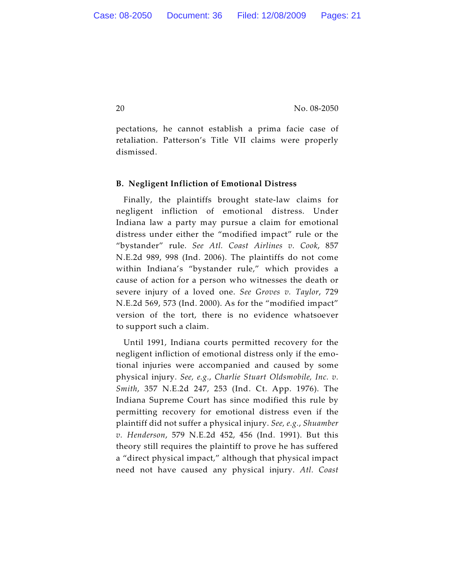pectations, he cannot establish a prima facie case of retaliation. Patterson's Title VII claims were properly dismissed.

### **B. Negligent Infliction of Emotional Distress**

Finally, the plaintiffs brought state-law claims for negligent infliction of emotional distress. Under Indiana law a party may pursue a claim for emotional distress under either the "modified impact" rule or the "bystander" rule. *See Atl. Coast Airlines v. Cook*, 857 N.E.2d 989, 998 (Ind. 2006). The plaintiffs do not come within Indiana's "bystander rule," which provides a cause of action for a person who witnesses the death or severe injury of a loved one. *See Groves v. Taylor*, 729 N.E.2d 569, 573 (Ind. 2000). As for the "modified impact" version of the tort, there is no evidence whatsoever to support such a claim.

Until 1991, Indiana courts permitted recovery for the negligent infliction of emotional distress only if the emotional injuries were accompanied and caused by some physical injury. *See, e.g.*, *Charlie Stuart Oldsmobile, Inc. v. Smith*, 357 N.E.2d 247, 253 (Ind. Ct. App. 1976). The Indiana Supreme Court has since modified this rule by permitting recovery for emotional distress even if the plaintiff did not suffer a physical injury. *See, e.g.*, *Shuamber v. Henderson*, 579 N.E.2d 452, 456 (Ind. 1991). But this theory still requires the plaintiff to prove he has suffered a "direct physical impact," although that physical impact need not have caused any physical injury. *Atl. Coast*